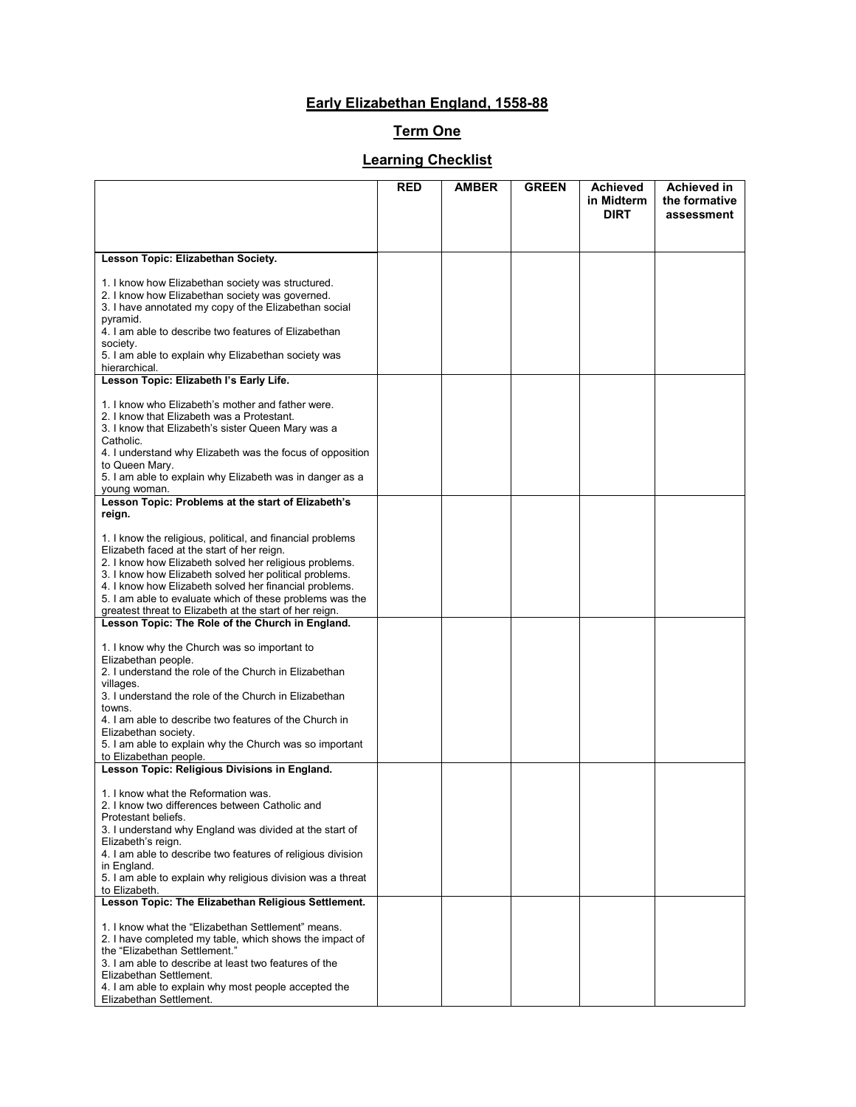## **Early Elizabethan England, 1558-88**

## **Term One**

## **Learning Checklist**

|                                                                                                                                                                                                                                                                                                                                                                                                               | <b>RED</b> | <b>AMBER</b> | <b>GREEN</b> | <b>Achieved</b><br>in Midterm | <b>Achieved in</b><br>the formative |
|---------------------------------------------------------------------------------------------------------------------------------------------------------------------------------------------------------------------------------------------------------------------------------------------------------------------------------------------------------------------------------------------------------------|------------|--------------|--------------|-------------------------------|-------------------------------------|
|                                                                                                                                                                                                                                                                                                                                                                                                               |            |              |              | <b>DIRT</b>                   | assessment                          |
| Lesson Topic: Elizabethan Society.                                                                                                                                                                                                                                                                                                                                                                            |            |              |              |                               |                                     |
| 1. I know how Elizabethan society was structured.<br>2. I know how Elizabethan society was governed.<br>3. I have annotated my copy of the Elizabethan social<br>pyramid.<br>4. I am able to describe two features of Elizabethan<br>society.<br>5. I am able to explain why Elizabethan society was<br>hierarchical.                                                                                         |            |              |              |                               |                                     |
| Lesson Topic: Elizabeth I's Early Life.                                                                                                                                                                                                                                                                                                                                                                       |            |              |              |                               |                                     |
| 1. I know who Elizabeth's mother and father were.<br>2. I know that Elizabeth was a Protestant.<br>3. I know that Elizabeth's sister Queen Mary was a<br>Catholic.<br>4. I understand why Elizabeth was the focus of opposition<br>to Queen Mary.<br>5. I am able to explain why Elizabeth was in danger as a<br>young woman.                                                                                 |            |              |              |                               |                                     |
| Lesson Topic: Problems at the start of Elizabeth's<br>reign.                                                                                                                                                                                                                                                                                                                                                  |            |              |              |                               |                                     |
| 1. I know the religious, political, and financial problems<br>Elizabeth faced at the start of her reign.<br>2. I know how Elizabeth solved her religious problems.<br>3. I know how Elizabeth solved her political problems.<br>4. I know how Elizabeth solved her financial problems.<br>5. I am able to evaluate which of these problems was the<br>greatest threat to Elizabeth at the start of her reign. |            |              |              |                               |                                     |
| Lesson Topic: The Role of the Church in England.                                                                                                                                                                                                                                                                                                                                                              |            |              |              |                               |                                     |
| 1. I know why the Church was so important to<br>Elizabethan people.<br>2. I understand the role of the Church in Elizabethan<br>villages.<br>3. I understand the role of the Church in Elizabethan<br>towns.<br>4. I am able to describe two features of the Church in<br>Elizabethan society.<br>5. I am able to explain why the Church was so important<br>to Elizabethan people.                           |            |              |              |                               |                                     |
| Lesson Topic: Religious Divisions in England.                                                                                                                                                                                                                                                                                                                                                                 |            |              |              |                               |                                     |
| 1. I know what the Reformation was.<br>2. I know two differences between Catholic and<br>Protestant beliefs.<br>3. I understand why England was divided at the start of<br>Elizabeth's reign.<br>4. I am able to describe two features of religious division<br>in England.<br>5. I am able to explain why religious division was a threat<br>to Elizabeth.                                                   |            |              |              |                               |                                     |
| Lesson Topic: The Elizabethan Religious Settlement.                                                                                                                                                                                                                                                                                                                                                           |            |              |              |                               |                                     |
| 1. I know what the "Elizabethan Settlement" means.<br>2. I have completed my table, which shows the impact of<br>the "Elizabethan Settlement."<br>3. I am able to describe at least two features of the<br>Elizabethan Settlement.<br>4. I am able to explain why most people accepted the<br>Elizabethan Settlement.                                                                                         |            |              |              |                               |                                     |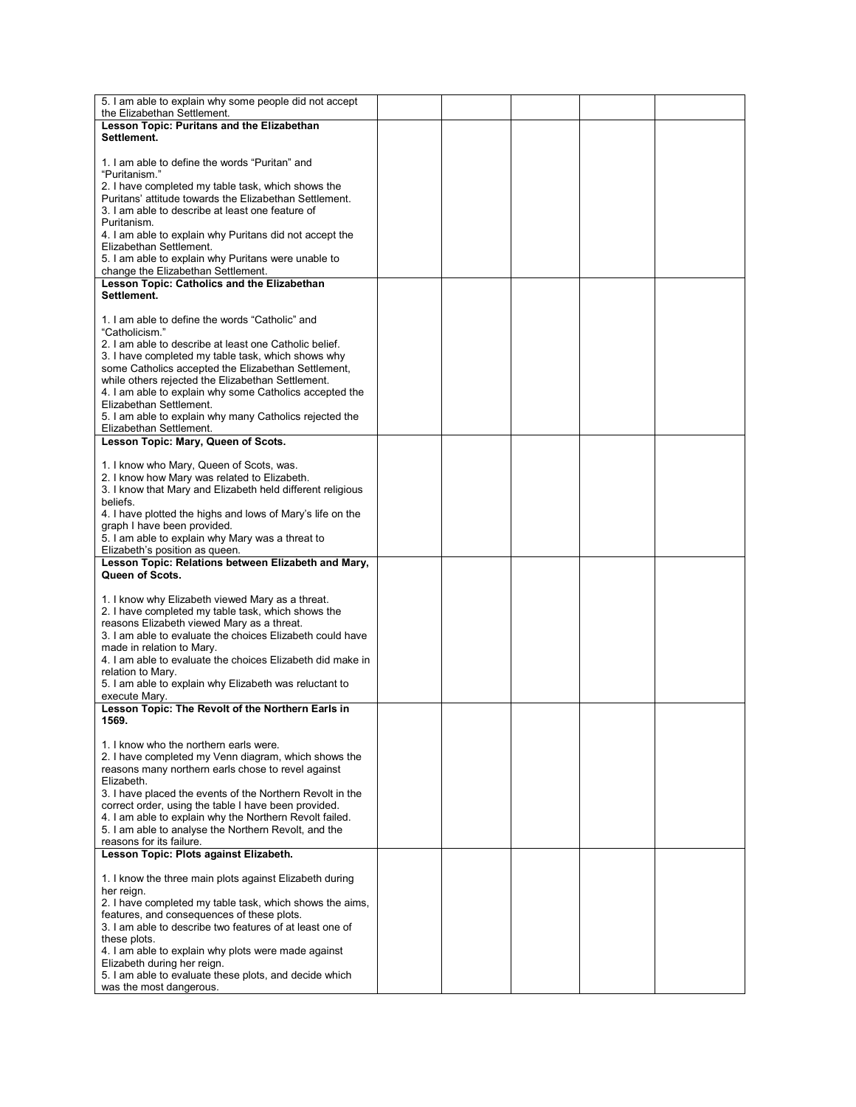| 5. I am able to explain why some people did not accept<br>the Elizabethan Settlement.                             |  |  |  |
|-------------------------------------------------------------------------------------------------------------------|--|--|--|
| Lesson Topic: Puritans and the Elizabethan                                                                        |  |  |  |
| Settlement.                                                                                                       |  |  |  |
| 1. I am able to define the words "Puritan" and                                                                    |  |  |  |
| "Puritanism."                                                                                                     |  |  |  |
| 2. I have completed my table task, which shows the                                                                |  |  |  |
| Puritans' attitude towards the Elizabethan Settlement.                                                            |  |  |  |
| 3. I am able to describe at least one feature of                                                                  |  |  |  |
| Puritanism.                                                                                                       |  |  |  |
| 4. I am able to explain why Puritans did not accept the                                                           |  |  |  |
| Elizabethan Settlement.                                                                                           |  |  |  |
| 5. I am able to explain why Puritans were unable to                                                               |  |  |  |
|                                                                                                                   |  |  |  |
| change the Elizabethan Settlement.<br>Lesson Topic: Catholics and the Elizabethan                                 |  |  |  |
| Settlement.                                                                                                       |  |  |  |
|                                                                                                                   |  |  |  |
|                                                                                                                   |  |  |  |
| 1. I am able to define the words "Catholic" and                                                                   |  |  |  |
| "Catholicism."                                                                                                    |  |  |  |
| 2. I am able to describe at least one Catholic belief.                                                            |  |  |  |
| 3. I have completed my table task, which shows why                                                                |  |  |  |
| some Catholics accepted the Elizabethan Settlement,                                                               |  |  |  |
| while others rejected the Elizabethan Settlement.                                                                 |  |  |  |
| 4. I am able to explain why some Catholics accepted the                                                           |  |  |  |
| Elizabethan Settlement.                                                                                           |  |  |  |
| 5. I am able to explain why many Catholics rejected the                                                           |  |  |  |
| Elizabethan Settlement.                                                                                           |  |  |  |
| Lesson Topic: Mary, Queen of Scots.                                                                               |  |  |  |
|                                                                                                                   |  |  |  |
| 1. I know who Mary, Queen of Scots, was.                                                                          |  |  |  |
| 2. I know how Mary was related to Elizabeth.                                                                      |  |  |  |
| 3. I know that Mary and Elizabeth held different religious                                                        |  |  |  |
| beliefs.                                                                                                          |  |  |  |
| 4. I have plotted the highs and lows of Mary's life on the                                                        |  |  |  |
| graph I have been provided.                                                                                       |  |  |  |
| 5. I am able to explain why Mary was a threat to                                                                  |  |  |  |
| Elizabeth's position as queen.                                                                                    |  |  |  |
| Lesson Topic: Relations between Elizabeth and Mary,                                                               |  |  |  |
| Queen of Scots.                                                                                                   |  |  |  |
|                                                                                                                   |  |  |  |
| 1. I know why Elizabeth viewed Mary as a threat.                                                                  |  |  |  |
| 2. I have completed my table task, which shows the                                                                |  |  |  |
| reasons Elizabeth viewed Mary as a threat.                                                                        |  |  |  |
| 3. I am able to evaluate the choices Elizabeth could have                                                         |  |  |  |
| made in relation to Mary.                                                                                         |  |  |  |
| 4. I am able to evaluate the choices Elizabeth did make in                                                        |  |  |  |
| relation to Mary.                                                                                                 |  |  |  |
| 5. I am able to explain why Elizabeth was reluctant to                                                            |  |  |  |
| execute Mary.                                                                                                     |  |  |  |
| Lesson Topic: The Revolt of the Northern Earls in                                                                 |  |  |  |
| 1569.                                                                                                             |  |  |  |
|                                                                                                                   |  |  |  |
| 1. I know who the northern earls were.                                                                            |  |  |  |
| 2. I have completed my Venn diagram, which shows the                                                              |  |  |  |
| reasons many northern earls chose to revel against<br>Elizabeth.                                                  |  |  |  |
|                                                                                                                   |  |  |  |
| 3. I have placed the events of the Northern Revolt in the<br>correct order, using the table I have been provided. |  |  |  |
| 4. I am able to explain why the Northern Revolt failed.                                                           |  |  |  |
| 5. I am able to analyse the Northern Revolt, and the                                                              |  |  |  |
| reasons for its failure.                                                                                          |  |  |  |
| Lesson Topic: Plots against Elizabeth.                                                                            |  |  |  |
|                                                                                                                   |  |  |  |
| 1. I know the three main plots against Elizabeth during                                                           |  |  |  |
| her reign.                                                                                                        |  |  |  |
| 2. I have completed my table task, which shows the aims,                                                          |  |  |  |
| features, and consequences of these plots.                                                                        |  |  |  |
| 3. I am able to describe two features of at least one of                                                          |  |  |  |
| these plots.                                                                                                      |  |  |  |
| 4. I am able to explain why plots were made against                                                               |  |  |  |
| Elizabeth during her reign.                                                                                       |  |  |  |
| 5. I am able to evaluate these plots, and decide which                                                            |  |  |  |
| was the most dangerous.                                                                                           |  |  |  |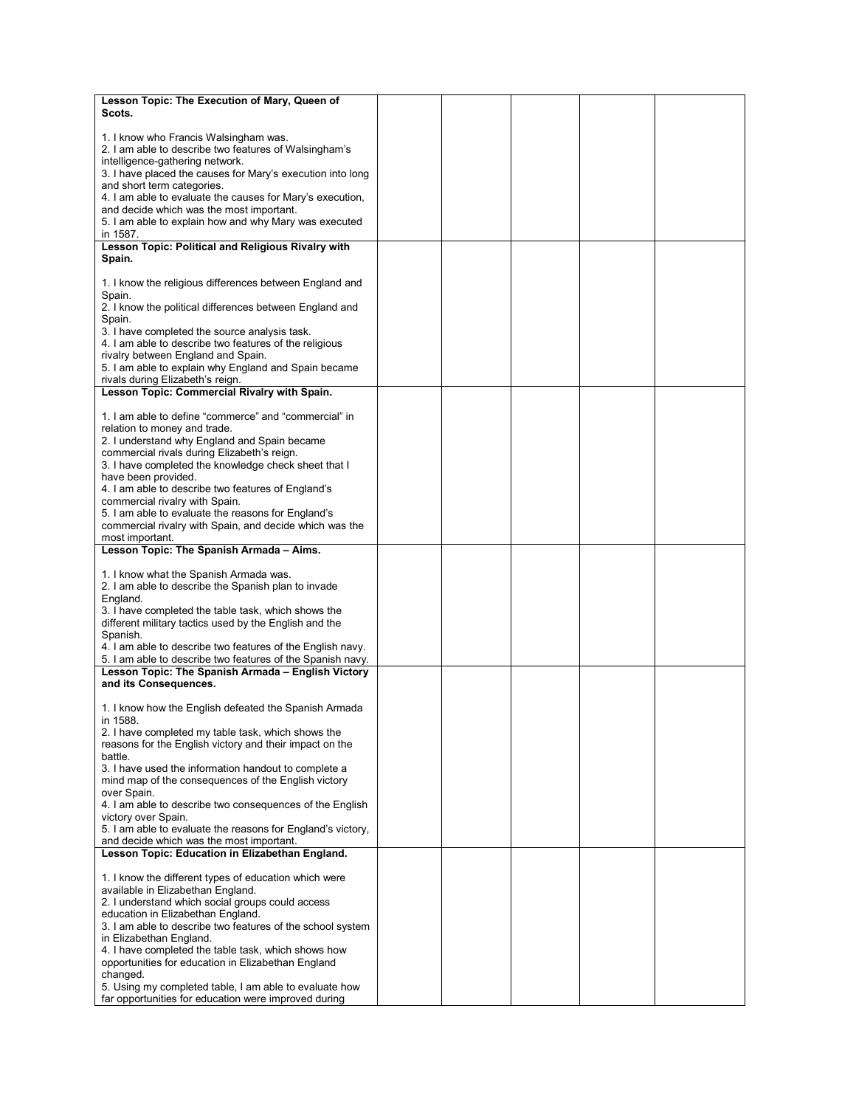| Lesson Topic: The Execution of Mary, Queen of                                                                                                                                                   |  |  |  |
|-------------------------------------------------------------------------------------------------------------------------------------------------------------------------------------------------|--|--|--|
| Scots.                                                                                                                                                                                          |  |  |  |
| 1. I know who Francis Walsingham was.<br>2. I am able to describe two features of Walsingham's<br>intelligence-gathering network.<br>3. I have placed the causes for Mary's execution into long |  |  |  |
| and short term categories.<br>4. I am able to evaluate the causes for Mary's execution,<br>and decide which was the most important.                                                             |  |  |  |
| 5. I am able to explain how and why Mary was executed<br>in 1587.<br>Lesson Topic: Political and Religious Rivalry with                                                                         |  |  |  |
| Spain.                                                                                                                                                                                          |  |  |  |
| 1. I know the religious differences between England and<br>Spain.<br>2. I know the political differences between England and                                                                    |  |  |  |
| Spain.<br>3. I have completed the source analysis task.<br>4. I am able to describe two features of the religious                                                                               |  |  |  |
| rivalry between England and Spain.<br>5. I am able to explain why England and Spain became                                                                                                      |  |  |  |
| rivals during Elizabeth's reign.<br>Lesson Topic: Commercial Rivalry with Spain.                                                                                                                |  |  |  |
|                                                                                                                                                                                                 |  |  |  |
| 1. I am able to define "commerce" and "commercial" in<br>relation to money and trade.                                                                                                           |  |  |  |
| 2. I understand why England and Spain became<br>commercial rivals during Elizabeth's reign.<br>3. I have completed the knowledge check sheet that I                                             |  |  |  |
| have been provided.<br>4. I am able to describe two features of England's<br>commercial rivalry with Spain.                                                                                     |  |  |  |
| 5. I am able to evaluate the reasons for England's<br>commercial rivalry with Spain, and decide which was the<br>most important.                                                                |  |  |  |
| Lesson Topic: The Spanish Armada - Aims.                                                                                                                                                        |  |  |  |
|                                                                                                                                                                                                 |  |  |  |
| 1. I know what the Spanish Armada was.<br>2. I am able to describe the Spanish plan to invade<br>England.                                                                                       |  |  |  |
| 3. I have completed the table task, which shows the<br>different military tactics used by the English and the                                                                                   |  |  |  |
| Spanish.<br>4. I am able to describe two features of the English navy.                                                                                                                          |  |  |  |
| 5. I am able to describe two features of the Spanish navy.                                                                                                                                      |  |  |  |
| Lesson Topic: The Spanish Armada - English Victory<br>and its Consequences.                                                                                                                     |  |  |  |
| 1. I know how the English defeated the Spanish Armada<br>in 1588.                                                                                                                               |  |  |  |
| 2. I have completed my table task, which shows the<br>reasons for the English victory and their impact on the<br>battle.                                                                        |  |  |  |
| 3. I have used the information handout to complete a<br>mind map of the consequences of the English victory<br>over Spain.                                                                      |  |  |  |
| 4. I am able to describe two consequences of the English<br>victory over Spain.                                                                                                                 |  |  |  |
| 5. I am able to evaluate the reasons for England's victory,<br>and decide which was the most important.                                                                                         |  |  |  |
| Lesson Topic: Education in Elizabethan England.                                                                                                                                                 |  |  |  |
| 1. I know the different types of education which were<br>available in Elizabethan England.                                                                                                      |  |  |  |
| 2. I understand which social groups could access<br>education in Elizabethan England.                                                                                                           |  |  |  |
| 3. I am able to describe two features of the school system<br>in Elizabethan England.                                                                                                           |  |  |  |
| 4. I have completed the table task, which shows how<br>opportunities for education in Elizabethan England                                                                                       |  |  |  |
| changed.<br>5. Using my completed table, I am able to evaluate how<br>far opportunities for education were improved during                                                                      |  |  |  |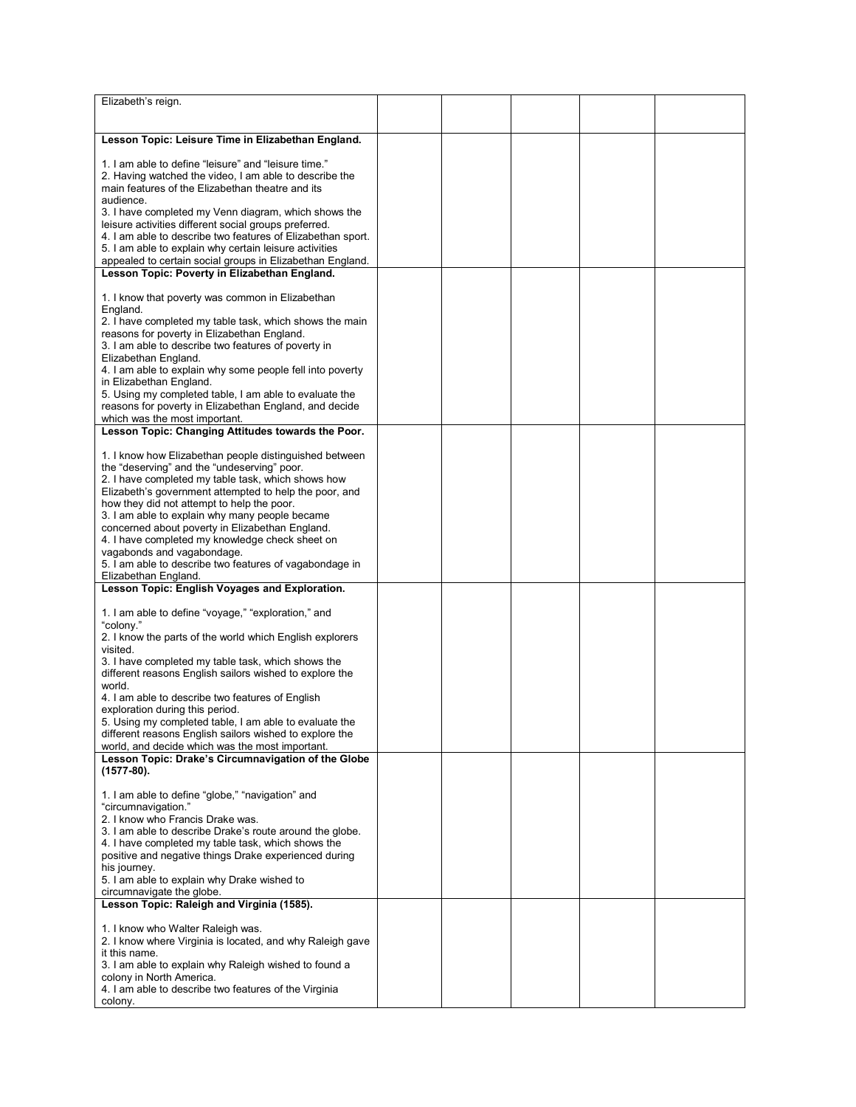| Elizabeth's reign.                                          |  |  |  |
|-------------------------------------------------------------|--|--|--|
|                                                             |  |  |  |
|                                                             |  |  |  |
| Lesson Topic: Leisure Time in Elizabethan England.          |  |  |  |
|                                                             |  |  |  |
| 1. I am able to define "leisure" and "leisure time."        |  |  |  |
| 2. Having watched the video, I am able to describe the      |  |  |  |
| main features of the Elizabethan theatre and its            |  |  |  |
| audience.                                                   |  |  |  |
|                                                             |  |  |  |
| 3. I have completed my Venn diagram, which shows the        |  |  |  |
| leisure activities different social groups preferred.       |  |  |  |
| 4. I am able to describe two features of Elizabethan sport. |  |  |  |
| 5. I am able to explain why certain leisure activities      |  |  |  |
| appealed to certain social groups in Elizabethan England.   |  |  |  |
| Lesson Topic: Poverty in Elizabethan England.               |  |  |  |
|                                                             |  |  |  |
| 1. I know that poverty was common in Elizabethan            |  |  |  |
| England.                                                    |  |  |  |
| 2. I have completed my table task, which shows the main     |  |  |  |
| reasons for poverty in Elizabethan England.                 |  |  |  |
| 3. I am able to describe two features of poverty in         |  |  |  |
|                                                             |  |  |  |
| Elizabethan England.                                        |  |  |  |
| 4. I am able to explain why some people fell into poverty   |  |  |  |
| in Elizabethan England.                                     |  |  |  |
| 5. Using my completed table, I am able to evaluate the      |  |  |  |
| reasons for poverty in Elizabethan England, and decide      |  |  |  |
| which was the most important.                               |  |  |  |
| Lesson Topic: Changing Attitudes towards the Poor.          |  |  |  |
|                                                             |  |  |  |
| 1. I know how Elizabethan people distinguished between      |  |  |  |
| the "deserving" and the "undeserving" poor.                 |  |  |  |
| 2. I have completed my table task, which shows how          |  |  |  |
|                                                             |  |  |  |
| Elizabeth's government attempted to help the poor, and      |  |  |  |
| how they did not attempt to help the poor.                  |  |  |  |
| 3. I am able to explain why many people became              |  |  |  |
| concerned about poverty in Elizabethan England.             |  |  |  |
| 4. I have completed my knowledge check sheet on             |  |  |  |
| vagabonds and vagabondage.                                  |  |  |  |
| 5. I am able to describe two features of vagabondage in     |  |  |  |
| Elizabethan England.                                        |  |  |  |
| Lesson Topic: English Voyages and Exploration.              |  |  |  |
|                                                             |  |  |  |
| 1. I am able to define "voyage," "exploration," and         |  |  |  |
| "colony."                                                   |  |  |  |
| 2. I know the parts of the world which English explorers    |  |  |  |
| visited.                                                    |  |  |  |
|                                                             |  |  |  |
| 3. I have completed my table task, which shows the          |  |  |  |
| different reasons English sailors wished to explore the     |  |  |  |
| world.                                                      |  |  |  |
| 4. I am able to describe two features of English            |  |  |  |
| exploration during this period.                             |  |  |  |
| 5. Using my completed table, I am able to evaluate the      |  |  |  |
| different reasons English sailors wished to explore the     |  |  |  |
| world, and decide which was the most important.             |  |  |  |
| Lesson Topic: Drake's Circumnavigation of the Globe         |  |  |  |
| $(1577-80).$                                                |  |  |  |
|                                                             |  |  |  |
| 1. I am able to define "globe," "navigation" and            |  |  |  |
| "circumnavigation."                                         |  |  |  |
| 2. I know who Francis Drake was.                            |  |  |  |
|                                                             |  |  |  |
| 3. I am able to describe Drake's route around the globe.    |  |  |  |
| 4. I have completed my table task, which shows the          |  |  |  |
| positive and negative things Drake experienced during       |  |  |  |
| his journey.                                                |  |  |  |
| 5. I am able to explain why Drake wished to                 |  |  |  |
| circumnavigate the globe.                                   |  |  |  |
| Lesson Topic: Raleigh and Virginia (1585).                  |  |  |  |
|                                                             |  |  |  |
| 1. I know who Walter Raleigh was.                           |  |  |  |
| 2. I know where Virginia is located, and why Raleigh gave   |  |  |  |
| it this name.                                               |  |  |  |
| 3. I am able to explain why Raleigh wished to found a       |  |  |  |
| colony in North America.                                    |  |  |  |
| 4. I am able to describe two features of the Virginia       |  |  |  |
| colony.                                                     |  |  |  |
|                                                             |  |  |  |